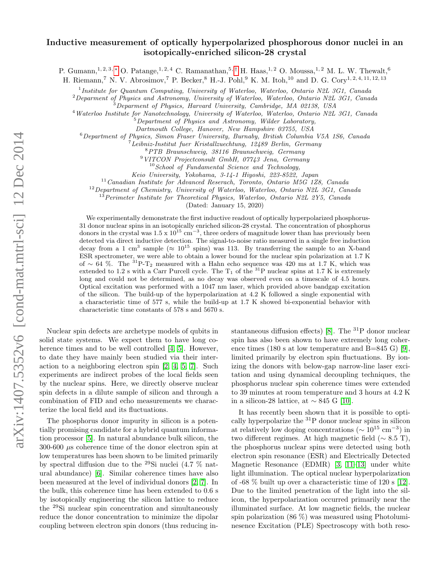# arXiv:1407.5352v6 [cond-mat.mtrl-sci] 12 Dec 2014 arXiv:1407.5352v6 [cond-mat.mtrl-sci] 12 Dec 2014

# Inductive measurement of optically hyperpolarized phosphorous donor nuclei in an isotopically-enriched silicon-28 crystal

P. Gumann,<sup>1, 2, 3, \*</sup> O. Patange,<sup>1, 2, 4</sup> C. Ramanathan,<sup>5,[†](#page-4-1)</sup> H. Haas,<sup>1, 2</sup> O. Moussa,<sup>1, 2</sup> M. L. W. Thewalt,<sup>6</sup>

H. Riemann,<sup>7</sup> N. V. Abrosimov,<sup>7</sup> P. Becker,<sup>8</sup> H.-J. Pohl,<sup>9</sup> K. M. Itoh,<sup>10</sup> and D. G. Cory<sup>1, 2, 4, 11, 12, 13</sup>

<sup>1</sup>Institute for Quantum Computing, University of Waterloo, Waterloo, Ontario N2L 3G1, Canada

 ${}^{2}$ Deparment of Physics and Astronomy, University of Waterloo, Waterloo, Ontario N2L 3G1, Canada

<sup>3</sup>Deparment of Physics, Harvard University, Cambridge, MA 02138, USA

<sup>4</sup>Waterloo Institute for Nanotechnology, University of Waterloo, Waterloo, Ontario N2L 3G1, Canada

 $5$ Department of Physics and Astronomy, Wilder Laboratory,

Dartmouth College, Hanover, New Hampshire 03755, USA

<sup>6</sup>Department of Physics, Simon Fraser University, Burnaby, British Columbia V5A 1S6, Canada

 ${}^{7}$ Leibniz-Institut fuer Kristallzuechtung, 12489 Berlin, Germany

<sup>8</sup>PTB Braunschweig, 38116 Braunschweig, Germany

<sup>9</sup>VITCON Projectconsult GmbH, 07743 Jena, Germany

 $10$  School of Fundamental Science and Technology,

Keio University, Yokohama, 3-14-1 Hiyoshi, 223-8522, Japan

 $11$ Canadian Institute for Advanced Reserach, Toronto, Ontario M5G 1Z8, Canada

<sup>12</sup> Department of Chemistry, University of Waterloo, Waterloo, Ontario N2L 3G1, Canada

 $^{13}$ Perimeter Institute for Theoretical Physics, Waterloo, Ontario N2L 2Y5, Canada

(Dated: January 15, 2020)

We experimentally demonstrate the first inductive readout of optically hyperpolarized phosphorus-31 donor nuclear spins in an isotopically enriched silicon-28 crystal. The concentration of phosphorus donors in the crystal was  $1.5 \times 10^{15} \text{ cm}^{-3}$ , three orders of magnitude lower than has previously been detected via direct inductive detection. The signal-to-noise ratio measured in a single free induction decay from a 1 cm<sup>3</sup> sample ( $\approx 10^{15}$  spins) was 113. By transferring the sample to an X-band ESR spectrometer, we were able to obtain a lower bound for the nuclear spin polarization at 1.7 K of ∼ 64 %. The <sup>31</sup>P-T<sub>2</sub> measured with a Hahn echo sequence was 420 ms at 1.7 K, which was extended to 1.2 s with a Carr Purcell cycle. The  $T_1$  of the  ${}^{31}P$  nuclear spins at 1.7 K is extremely long and could not be determined, as no decay was observed even on a timescale of 4.5 hours. Optical excitation was performed with a 1047 nm laser, which provided above bandgap excitation of the silicon. The build-up of the hyperpolarization at 4.2 K followed a single exponential with a characteristic time of 577 s, while the build-up at 1.7 K showed bi-exponential behavior with characteristic time constants of 578 s and 5670 s.

Nuclear spin defects are archetype models of qubits in solid state systems. We expect them to have long coherence times and to be well controlled [\[4,](#page-4-2) [5\]](#page-4-3). However, to date they have mainly been studied via their interaction to a neighboring electron spin [\[2,](#page-4-4) [4,](#page-4-2) [5,](#page-4-3) [7\]](#page-4-5). Such experiments are indirect probes of the local fields seen by the nuclear spins. Here, we directly observe nuclear spin defects in a dilute sample of silicon and through a combination of FID and echo measurements we characterize the local field and its fluctuations.

The phosphorus donor impurity in silicon is a potentially promising candidate for a hybrid quantum information processor [\[5\]](#page-4-6). In natural abundance bulk silicon, the 300-600  $\mu$ s coherence time of the donor electron spin at low temperatures has been shown to be limited primarily by spectral diffusion due to the <sup>29</sup>Si nuclei (4.7 % natural abundance) [\[6\]](#page-4-7). Similar coherence times have also been measured at the level of individual donors [\[2,](#page-4-4) [7\]](#page-4-5). In the bulk, this coherence time has been extended to 0.6 s by isotopically engineering the silicon lattice to reduce the <sup>29</sup>Si nuclear spin concentration and simultaneously reduce the donor concentration to minimize the dipolar coupling between electron spin donors (thus reducing instantaneous diffusion effects) [\[8\]](#page-4-8). The  $^{31}P$  donor nuclear spin has also been shown to have extremely long coher-ence times (180 s at low temperature and B=845 G) [\[9\]](#page-4-9), limited primarily by electron spin fluctuations. By ionizing the donors with below-gap narrow-line laser excitation and using dynamical decoupling techniques, the phosphorus nuclear spin coherence times were extended to 39 minutes at room temperature and 3 hours at 4.2 K in a silicon-28 lattice, at  $\sim$  845 G [\[10\]](#page-4-10).

It has recently been shown that it is possible to optically hyperpolarize the  ${}^{31}P$  donor nuclear spins in silicon at relatively low doping concentrations ( $\sim 10^{15}$  cm<sup>-3</sup>) in two different regimes. At high magnetic field ( $\sim 8.5$  T), the phosphorus nuclear spins were detected using both electron spin resonance (ESR) and Electrically Detected Magnetic Resonance (EDMR) [\[3,](#page-4-11) [11](#page-4-12)[–13\]](#page-4-13) under white light illumination. The optical nuclear hyperpolarization of -68 % built up over a characteristic time of 120 s [\[12\]](#page-4-14). Due to the limited penetration of the light into the silicon, the hyperpolarization occurred primarily near the illuminated surface. At low magnetic fields, the nuclear spin polarization (86 %) was measured using Photoluminesence Excitation (PLE) Spectroscopy with both reso-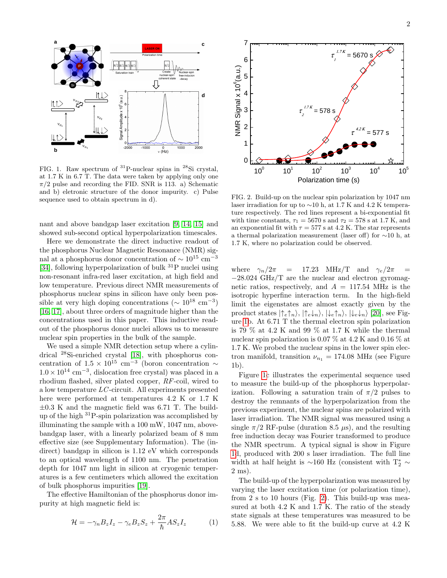

<span id="page-1-0"></span>FIG. 1. Raw spectrum of <sup>31</sup>P-nuclear spins in <sup>28</sup>Si crystal, at 1.7 K in 6.7 T. The data were taken by applying only one  $\pi/2$  pulse and recording the FID. SNR is 113. a) Schematic and b) eletronic structure of the donor impurity. c) Pulse sequence used to obtain spectrum in d).

nant and above bandgap laser excitation [\[9,](#page-4-9) [14,](#page-4-15) [15\]](#page-4-16) and showed sub-second optical hyperpolarization timescales.

Here we demonstrate the direct inductive readout of the phosphorus Nuclear Magnetic Resonance (NMR) signal at a phosphorus donor concentration of  $\sim 10^{15}$  cm<sup>-3</sup> [\[34\]](#page-4-17), following hyperpolarization of bulk  ${}^{31}P$  nuclei using non-resonant infra-red laser excitation, at high field and low temperature. Previous direct NMR measurements of phosphorus nuclear spins in silicon have only been possible at very high doping concentrations ( $\sim 10^{18}$  cm<sup>-3</sup>) [\[16,](#page-4-18) [17\]](#page-4-19), about three orders of magnitude higher than the concentrations used in this paper. This inductive readout of the phosphorus donor nuclei allows us to measure nuclear spin properties in the bulk of the sample.

We used a simple NMR detection setup where a cylindrical <sup>28</sup>Si-enriched crystal [\[18\]](#page-4-20), with phosphorus concentration of  $1.5 \times 10^{15}$  cm<sup>-3</sup> (boron concentration ~  $1.0 \times 10^{14}$  cm<sup>-3</sup>, dislocation free crystal) was placed in a rhodium flashed, silver plated copper, RF-coil, wired to a low temperature LC -circuit. All experiments presented here were performed at temperatures 4.2 K or 1.7 K  $\pm 0.3$  K and the magnetic field was 6.71 T. The buildup of the high  $31P$ -spin polarization was accomplished by illuminating the sample with a 100 mW, 1047 nm, abovebandgap laser, with a linearly polarized beam of 8 mm effective size (see Supplementary Information). The (indirect) bandgap in silicon is 1.12 eV which corresponds to an optical wavelength of 1100 nm. The penetration depth for 1047 nm light in silicon at cryogenic temperatures is a few centimeters which allowed the excitation of bulk phosphorus impurities [\[19\]](#page-4-21).

The effective Hamiltonian of the phosphorus donor impurity at high magnetic field is:

$$
\mathcal{H} = -\gamma_n B_z I_z - \gamma_e B_z S_z + \frac{2\pi}{\hbar} A S_z I_z \tag{1}
$$



<span id="page-1-1"></span>FIG. 2. Build-up on the nuclear spin polarization by 1047 nm laser irradiation for up to ∼10 h, at 1.7 K and 4.2 K temperature respectively. The red lines represent a bi-exponential fit with time constants,  $\tau_1 = 5670$  s and  $\tau_2 = 578$  s at 1.7 K, and an exponential fit with  $\tau = 577$  s at 4.2 K. The star represents a thermal polarization measurement (laser off) for ∼10 h, at 1.7 K, where no polarization could be observed.

where  $\gamma_n/2\pi$  = 17.23 MHz/T and  $\gamma_e/2\pi$ −28.024 GHz/T are the nuclear and electron gyromagnetic ratios, respectively, and  $A = 117.54$  MHz is the isotropic hyperfine interaction term. In the high-field limit the eigenstates are almost exactly given by the product states  $|\uparrow_e\uparrow_n\rangle$ ,  $|\uparrow_e\downarrow_n\rangle$ ,  $|\downarrow_e\uparrow_n\rangle$ ,  $|\downarrow_e\downarrow_n\rangle$  [\[20\]](#page-4-22), see Figure [1b](#page-1-0). At 6.71 T the thermal electron spin polarization is 79  $\%$  at 4.2 K and 99  $\%$  at 1.7 K while the thermal nuclear spin polarization is 0.07 % at 4.2 K and 0.16 % at 1.7 K. We probed the nuclear spins in the lower spin electron manifold, transition  $\nu_{n_1} = 174.08 \text{ MHz}$  (see Figure 1b).

Figure [1c](#page-1-0) illustrates the experimental sequence used to measure the build-up of the phosphorus hyperpolarization. Following a saturation train of  $\pi/2$  pulses to destroy the remnants of the hyperpolarization from the previous experiment, the nuclear spins are polarized with laser irradiation. The NMR signal was measured using a single  $\pi/2$  RF-pulse (duration 8.5  $\mu$ s), and the resulting free induction decay was Fourier transformed to produce the NMR spectrum. A typical signal is show in Figure [1d](#page-1-0), produced with 200 s laser irradiation. The full line width at half height is  ${\sim}160$  Hz (consistent with T $_2^*$   $\sim$ 2 ms).

The build-up of the hyperpolarization was measured by varying the laser excitation time (or polarization time), from 2 s to 10 hours (Fig. [2\)](#page-1-1). This build-up was measured at both 4.2 K and 1.7 K. The ratio of the steady state signals at these temperatures was measured to be 5.88. We were able to fit the build-up curve at 4.2 K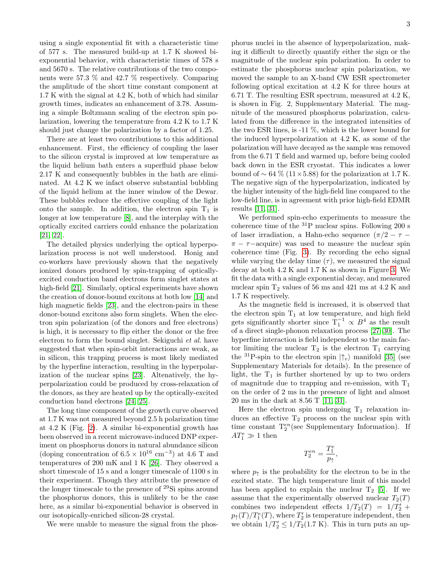using a single exponential fit with a characteristic time of 577 s. The measured build-up at 1.7 K showed biexponential behavior, with characteristic times of 578 s and 5670 s. The relative contributions of the two components were 57.3 % and 42.7 % respectively. Comparing the amplitude of the short time constant component at 1.7 K with the signal at 4.2 K, both of which had similar growth times, indicates an enhancement of 3.78. Assuming a simple Boltzmann scaling of the electron spin polarization, lowering the temperature from 4.2 K to 1.7 K should just change the polarization by a factor of 1.25.

There are at least two contributions to this additional enhancement. First, the efficiency of coupling the laser to the silicon crystal is improved at low temperature as the liquid helium bath enters a superfluid phase below 2.17 K and consequently bubbles in the bath are eliminated. At 4.2 K we infact observe substantial bubbling of the liquid helium at the inner window of the Dewar. These bubbles reduce the effective coupling of the light onto the sample. In addition, the electron spin  $T_1$  is longer at low temperature [\[8\]](#page-4-8), and the interplay with the optically excited carriers could enhance the polarization [\[21,](#page-4-23) [22\]](#page-4-24).

The detailed physics underlying the optical hyperpolarization process is not well understood. Honig and co-workers have previously shown that the negatively ionized donors produced by spin-trapping of opticallyexcited conduction band electrons form singlet states at high-field [\[21\]](#page-4-23). Similarly, optical experiments have shown the creation of donor-bound excitons at both low [\[14\]](#page-4-15) and high magnetic fields [\[23\]](#page-4-25), and the electron-pairs in these donor-bound excitons also form singlets. When the electron spin polarization (of the donors and free electrons) is high, it is necessary to flip either the donor or the free electron to form the bound singlet. Sekiguchi et al. have suggested that when spin-orbit interactions are weak, as in silicon, this trapping process is most likely mediated by the hyperfine interaction, resulting in the hyperpolarization of the nuclear spins [\[23\]](#page-4-25). Altenatively, the hyperpolarization could be produced by cross-relaxation of the donors, as they are heated up by the optically-excited conduction band electrons [\[24,](#page-4-26) [25\]](#page-4-27).

The long time component of the growth curve observed at 1.7 K was not measured beyond 2.5 h polarization time at 4.2 K (Fig. [2\)](#page-1-1). A similar bi-exponential growth has been observed in a recent microwave-induced DNP experiment on phosphorus donors in natural abundance silicon (doping concentration of  $6.5 \times 10^{16}$  cm<sup>-3</sup>) at 4.6 T and temperatures of 200 mK and 1 K [\[26\]](#page-4-28). They observed a short timescale of 15 s and a longer timescale of 1100 s in their experiment. Though they attribute the presence of the longer timescale to the presence of <sup>29</sup>Si spins around the phosphorus donors, this is unlikely to be the case here, as a similar bi-exponential behavior is observed in our isotopically-enriched silicon-28 crystal.

We were unable to measure the signal from the phos-

phorus nuclei in the absence of hyperpolarization, making it difficult to directly quantify either the sign or the magnitude of the nuclear spin polarization. In order to estimate the phosphorus nuclear spin polarization, we moved the sample to an X-band CW ESR spectrometer following optical excitation at 4.2 K for three hours at 6.71 T. The resulting ESR spectrum, measured at 4.2 K, is shown in Fig. 2, Supplementary Material. The magnitude of the measured phosphorus polarization, calculated from the difference in the integrated intensities of the two ESR lines, is -11 %, which is the lower bound for the induced hyperpolarization at 4.2 K, as some of the polarization will have decayed as the sample was removed from the 6.71 T field and warmed up, before being cooled back down in the ESR cryostat. This indicates a lower bound of  $\sim 64\%$  (11×5.88) for the polarization at 1.7 K. The negative sign of the hyperpolarization, indicated by the higher intensity of the high-field line compared to the low-field line, is in agreement with prior high-field EDMR results [\[11,](#page-4-12) [31\]](#page-4-29).

We performed spin-echo experiments to measure the coherence time of the  $^{31}P$  nuclear spins. Following 200 s of laser irradiation, a Hahn-echo sequence  $(\pi/2 - \tau \pi - \tau$  – acquire) was used to measure the nuclear spin coherence time (Fig. [3\)](#page-3-0). By recording the echo signal while varying the delay time  $(\tau)$ , we measured the signal decay at both 4.2 K and 1.7 K as shown in Figure [3.](#page-3-0) We fit the data with a single exponential decay, and measured nuclear spin  $T_2$  values of 56 ms and 421 ms at 4.2 K and 1.7 K respectively.

As the magnetic field is increased, it is observed that the electron spin  $T_1$  at low temperature, and high field gets significantly shorter since  $T_1^{-1} \propto B^4$  as the result of a direct single-phonon relaxation process [\[27–](#page-4-30)[30\]](#page-4-31). The hyperfine interaction is field independent so the main factor limiting the nuclear  $T_2$  is the electron  $T_1$  carrying the <sup>31</sup>P-spin to the electron spin  $|\uparrow_e\rangle$  manifold [\[35\]](#page-4-32) (see Supplementary Materials for details). In the presence of light, the  $T_1$  is further shortened by up to two orders of magnitude due to trapping and re-emission, with  $T_1$ on the order of 2 ms in the presence of light and almost 20 ms in the dark at 8.56 T [\[11,](#page-4-12) [31\]](#page-4-29).

Here the electron spin undergoing  $T_1$  relaxation induces an effective  $T_2$  process on the nuclear spin with time constant  $T_2^{en}$  (see Supplementary Information). If  $AT_1^e \gg 1$  then

$$
T_2^{en}=\frac{T_1^e}{p_{\uparrow}}
$$

,

where  $p_{\uparrow}$  is the probability for the electron to be in the excited state. The high temperature limit of this model has been applied to explain the nuclear  $T_2$  [\[5\]](#page-4-3). If we assume that the experimentally observed nuclear  $T_2(T)$ combines two independent effects  $1/T_2(T) = 1/T'_2 +$  $p_{\uparrow}(T)/T_1^e(T)$ , where  $T_2'$  is temperature independent, then we obtain  $1/T'_2 \leq 1/T_2(1.7 \text{ K})$ . This in turn puts an up-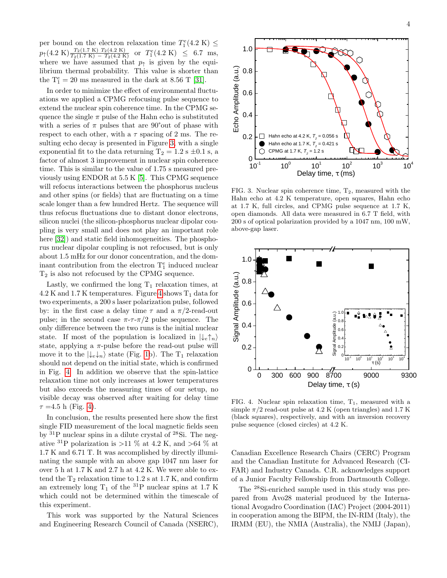per bound on the electron relaxation time  $T_1^e(4.2 \text{ K}) \leq$  $p_{\uparrow}(4.2 \text{ K}) \frac{T_2(1.7 \text{ K}) T_2(4.2 \text{ K})}{T_2(1.7 \text{ K}) - T_2(4.2 \text{ K})} \text{ or } T_1^e(4.2 \text{ K}) \leq 6.7 \text{ ms},$ where we have assumed that  $p<sub>†</sub>$  is given by the equilibrium thermal probability. This value is shorter than the  $T_1^e = 20$  ms measured in the dark at 8.56 T [\[31\]](#page-4-29).

In order to minimize the effect of environmental fluctuations we applied a CPMG refocusing pulse sequence to extend the nuclear spin coherence time. In the CPMG sequence the single  $\pi$  pulse of the Hahn echo is substituted with a series of  $\pi$  pulses that are 90°out of phase with respect to each other, with a  $\tau$  spacing of 2 ms. The resulting echo decay is presented in Figure [3,](#page-3-0) with a single exponential fit to the data returning  $T_2 = 1.2$  s  $\pm 0.1$  s, a factor of almost 3 improvement in nuclear spin coherence time. This is similar to the value of 1.75 s measured previously using ENDOR at 5.5 K [\[5\]](#page-4-3). This CPMG sequence will refocus interactions between the phosphorus nucleus and other spins (or fields) that are fluctuating on a time scale longer than a few hundred Hertz. The sequence will thus refocus fluctuations due to distant donor electrons, silicon nuclei (the silicon-phosphorus nuclear dipolar coupling is very small and does not play an important role here [\[32\]](#page-4-33)) and static field inhomogeneities. The phosphorus nuclear dipolar coupling is not refocused, but is only about 1.5 mHz for our donor concentration, and the dominant contribution from the electron  $T_1^e$  induced nuclear T<sup>2</sup> is also not refocused by the CPMG sequence.

Lastly, we confirmed the long  $T_1$  relaxation times, at  $4.2$  K and  $1.7$  K temperatures. Figure [4](#page-3-1) shows  $T_1$  data for two experiments, a 200 s laser polarization pulse, followed by: in the first case a delay time  $\tau$  and a  $\pi/2$ -read-out pulse; in the second case  $\pi$ - $\tau$ - $\pi/2$  pulse sequence. The only difference between the two runs is the initial nuclear state. If most of the population is localized in  $\vert \downarrow_e \uparrow_n \rangle$ state, applying a  $\pi$ -pulse before the read-out pulse will move it to the  $|\downarrow_e \downarrow_n \rangle$  state (Fig. [1b](#page-1-0)). The T<sub>1</sub> relaxation should not depend on the initial state, which is confirmed in Fig. [4.](#page-3-1) In addition we observe that the spin-lattice relaxation time not only increases at lower temperatures but also exceeds the measuring times of our setup, no visible decay was observed after waiting for delay time  $\tau = 4.5$  h (Fig. [4\)](#page-3-1).

In conclusion, the results presented here show the first single FID measurement of the local magnetic fields seen by  $31P$  nuclear spins in a dilute crystal of  $28Si$ . The negative <sup>31</sup>P polarization is >11  $\%$  at 4.2 K, and >64  $\%$  at 1.7 K and 6.71 T. It was accomplished by directly illuminating the sample with an above gap 1047 nm laser for over 5 h at 1.7 K and 2.7 h at 4.2 K. We were able to extend the  $T_2$  relaxation time to 1.2 s at 1.7 K, and confirm an extremely long  $T_1$  of the <sup>31</sup>P nuclear spins at 1.7 K which could not be determined within the timescale of this experiment.

This work was supported by the Natural Sciences and Engineering Research Council of Canada (NSERC),



<span id="page-3-0"></span>FIG. 3. Nuclear spin coherence time,  $T_2$ , measured with the Hahn echo at 4.2 K temperature, open squares, Hahn echo at 1.7 K, full circles, and CPMG pulse sequence at 1.7 K, open diamonds. All data were measured in 6.7 T field, with 200 s of optical polarization provided by a 1047 nm, 100 mW, above-gap laser.



<span id="page-3-1"></span>FIG. 4. Nuclear spin relaxation time,  $T_1$ , measured with a simple  $\pi/2$  read-out pulse at 4.2 K (open triangles) and 1.7 K (black squares), respectively, and with an inversion recovery pulse sequence (closed circles) at 4.2 K.

Canadian Excellence Research Chairs (CERC) Program and the Canadian Institute for Advanced Research (CI-FAR) and Industry Canada. C.R. acknowledges support of a Junior Faculty Fellowship from Dartmouth College.

The <sup>28</sup>Si-enriched sample used in this study was prepared from Avo28 material produced by the International Avogadro Coordination (IAC) Project (2004-2011) in cooperation among the BIPM, the IN-RIM (Italy), the IRMM (EU), the NMIA (Australia), the NMIJ (Japan),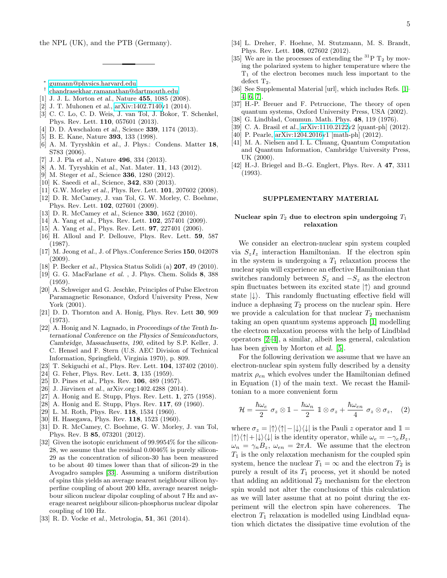the NPL (UK), and the PTB (Germany).

- <span id="page-4-0"></span>∗ [gumann@physics.harvard.edu](mailto:gumann@physics.harvard.edu)
- <span id="page-4-1"></span>† [chandrasekhar.ramanathan@dartmouth.edu](mailto:chandrasekhar.ramanathan@dartmouth.edu)
- <span id="page-4-3"></span>[1] J. J. L. Morton et al., Nature 455, 1085 (2008).
- <span id="page-4-4"></span>[2] J. T. Muhonen et al., [arXiv:1402.7140v](http://arxiv.org/abs/1402.7140)1 (2014).
- <span id="page-4-11"></span>[3] C. C. Lo, C. D. Weis, J. van Tol, J. Bokor, T. Schenkel, Phys. Rev. Lett. 110, 057601 (2013).
- <span id="page-4-2"></span>[4] D. D. Awschalom et al., Science **339**, 1174 (2013).
- <span id="page-4-6"></span>[5] B. E. Kane, Nature 393, 133 (1998).
- <span id="page-4-7"></span>[6] A. M. Tyryshkin et al., J. Phys.: Condens. Matter 18, S783 (2006).
- <span id="page-4-5"></span>[7] J. J. Pla et al., Nature **496**, 334 (2013).
- <span id="page-4-8"></span>[8] A. M. Tyryshkin et al., Nat. Mater. **11**, 143 (2012).
- <span id="page-4-9"></span>[9] M. Steger *et al.*, Science **336**, 1280 (2012).
- <span id="page-4-10"></span>[10] K. Saeedi et al., Science, **342**, 830 (2013).
- <span id="page-4-12"></span>[11] G.W. Morley et al., Phys. Rev. Lett. **101**, 207602 (2008).
- <span id="page-4-14"></span>[12] D. R. McCamey, J. van Tol, G. W. Morley, C. Boehme, Phys. Rev. Lett. 102, 027601 (2009).
- <span id="page-4-13"></span>[13] D. R. McCamey et al., Science **330**, 1652 (2010).
- <span id="page-4-15"></span>[14] A. Yang et al., Phys. Rev. Lett. **102**, 257401 (2009).
- <span id="page-4-16"></span>[15] A. Yang et al., Phys. Rev. Lett. **97**, 227401 (2006).
- <span id="page-4-18"></span>[16] H. Alloul and P. Dellouve, Phys. Rev. Lett. 59, 587 (1987).
- <span id="page-4-19"></span>[17] M. Jeong et al., J. of Phys.:Conference Series 150, 042078 (2009).
- <span id="page-4-20"></span>[18] P. Becker et al., Physica Status Solidi (a) 207, 49 (2010).
- <span id="page-4-21"></span>[19] G. G. MacFarlane et al. , J. Phys. Chem. Solids 8, 388 (1959).
- <span id="page-4-22"></span>[20] A. Schweiger and G. Jeschke, Principles of Pulse Electron Paramagnetic Resonance, Oxford University Press, New York (2001).
- <span id="page-4-23"></span>[21] D. D. Thornton and A. Honig, Phys. Rev. Lett 30, 909 (1973).
- <span id="page-4-24"></span>[22] A. Honig and N. Lagnado, in Proceedings of the Tenth International Conference on the Physics of Semiconductors, Cambridge, Massachusetts, 190, edited by S.P. Keller, J. C. Hensel and F. Stern (U.S. AEC Division of Technical Information, Springfield, Virginia 1970), p. 809.
- <span id="page-4-25"></span>[23] T. Sekiguchi et al., Phys. Rev. Lett. **104**, 137402 (2010).
- <span id="page-4-26"></span>[24] G. Feher, Phys. Rev. Lett. **3**, 135 (1959).
- <span id="page-4-27"></span>[25] D. Pines et al., Phys. Rev. **106**, 489 (1957).
- <span id="page-4-28"></span>[26] J. Järvinen et al., arXiv.org:1402.4288 (2014).
- <span id="page-4-30"></span>[27] A. Honig and E. Stupp, Phys. Rev. Lett. 1, 275 (1958).
- [28] A. Honig and E. Stupp, Phys. Rev. 117, 69 (1960).
- [29] L. M. Roth, Phys. Rev. 118, 1534 (1960).
- <span id="page-4-31"></span>[30] H. Hasegawa, Phys. Rev. 118, 1523 (1960).
- <span id="page-4-29"></span>[31] D. R. McCamey, C. Boehme, G. W. Morley, J. van Tol, Phys. Rev. B 85, 073201 (2012).
- <span id="page-4-33"></span>[32] Given the isotopic enrichment of 99.9954% for the silicon-28, we assume that the residual 0.0046% is purely silicon-29 as the concentration of silicon-30 has been measured to be about 40 times lower than that of silicon-29 in the Avogadro samples [\[33\]](#page-4-34). Assuming a uniform distribution of spins this yields an average nearest neighbour silicon hyperfine coupling of about 200 kHz, average nearest neighbour silicon nuclear dipolar coupling of about 7 Hz and average nearest neighbour silicon-phosphorus nuclear dipolar coupling of 100 Hz.
- <span id="page-4-34"></span>[33] R. D. Vocke et al., Metrologia, 51, 361 (2014).
- <span id="page-4-17"></span>[34] L. Dreher, F. Hoehne, M. Stutzmann, M. S. Brandt, Phys. Rev. Lett. 108, 027602 (2012).
- <span id="page-4-32"></span>[35] We are in the processes of extending the  ${}^{31}P$  T<sub>2</sub> by moving the polarized system to higher temperature where the  $T_1$  of the electron becomes much less important to the defect  $T_2$ .
- [36] See Supplemental Material [url], which includes Refs. [\[1–](#page-4-35) [4,](#page-4-36) [6,](#page-4-37) [7\]](#page-4-38).
- <span id="page-4-35"></span>[37] H.-P. Breuer and F. Petruccione, The theory of open quantum systems, Oxford University Press, USA (2002).
- <span id="page-4-39"></span>[38] G. Lindblad, Commun. Math. Phys. 48, 119 (1976).
- [39] C. A. Brasil et al., [arXiv:1110.2122v](http://arxiv.org/abs/1110.2122)2 [quant-ph] (2012).
- <span id="page-4-36"></span>[40] P. Pearle, [arXiv:1204.2016v](http://arxiv.org/abs/1204.2016)1 [math-ph] (2012).
- <span id="page-4-37"></span>[41] M. A. Nielsen and I. L. Chuang, Quantum Computation and Quantum Information, Cambridge University Press, UK (2000).
- <span id="page-4-38"></span>[42] H.-J. Briegel and B.-G. Englert, Phys. Rev. A 47, 3311 (1993).

### SUPPLEMENTARY MATERIAL

## Nuclear spin  $T_2$  due to electron spin undergoing  $T_1$ relaxation

We consider an electron-nuclear spin system coupled via  $S_zI_z$  interaction Hamiltonian. If the electron spin in the system is undergoing a  $T_1$  relaxation process the nuclear spin will experience an effective Hamiltonian that switches randomly between  $S_z$  and  $-S_z$  as the electron spin fluctuates between its excited state  $|\uparrow\rangle$  and ground state  $|\downarrow\rangle$ . This randomly fluctuating effective field will induce a dephasing  $T_2$  process on the nuclear spin. Here we provide a calculation for that nuclear  $T_2$  mechanism taking an open quantum systems approach [\[1\]](#page-4-35) modelling the electron relaxation process with the help of Lindblad operators [\[2–](#page-4-39)[4\]](#page-4-36), a similar, albeit less general, calculation has been given by Morton et al. [\[5\]](#page-4-3).

For the following derivation we assume that we have an electron-nuclear spin system fully described by a density matrix  $\rho_{en}$  which evolves under the Hamiltonian defined in Equation (1) of the main text. We recast the Hamiltonian to a more convenient form

<span id="page-4-40"></span>
$$
\mathcal{H} = \frac{\hbar\omega_e}{2} \; \sigma_z \otimes \mathbb{1} - \frac{\hbar\omega_n}{2} \; \mathbb{1} \otimes \sigma_z + \frac{\hbar\omega_{en}}{4} \; \sigma_z \otimes \sigma_z, \quad (2)
$$

where  $\sigma_z = |\uparrow\rangle\langle\uparrow| - |\downarrow\rangle\langle\downarrow|$  is the Pauli z operator and  $\mathbb{1} =$  $|\uparrow\rangle\langle\uparrow| + |\downarrow\rangle\langle\downarrow|$  is the identity operator, while  $\omega_e = -\gamma_eB_z$ ,  $\omega_n = \gamma_n B_z$ ,  $\omega_{en} = 2\pi A$ . We assume that the electron  $T_1$  is the only relaxation mechanism for the coupled spin system, hence the nuclear  $T_1 = \infty$  and the electron  $T_2$  is purely a result of its  $T_1$  process, yet it should be noted that adding an additional  $T_2$  mechanism for the electron spin would not alter the conclusions of this calculation as we will later assume that at no point during the experiment will the electron spin have coherences. The electron  $T_1$  relaxation is modelled using Lindblad equation which dictates the dissipative time evolution of the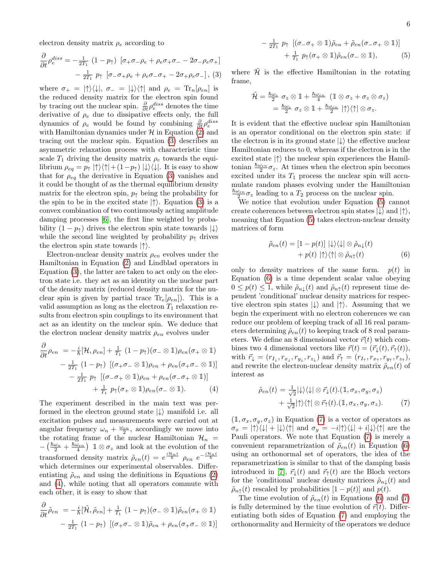electron density matrix  $\rho_e$  according to

<span id="page-5-0"></span>
$$
\frac{\partial}{\partial t} \rho_e^{diss} = -\frac{1}{2T_1} \left( 1 - p_{\uparrow} \right) \left[ \sigma_+ \sigma_- \rho_e + \rho_e \sigma_+ \sigma_- - 2 \sigma_- \rho_e \sigma_+ \right]
$$

$$
-\frac{1}{2T_1} p_{\uparrow} \left[ \sigma_- \sigma_+ \rho_e + \rho_e \sigma_- \sigma_+ - 2 \sigma_+ \rho_e \sigma_- \right], (3)
$$

where  $\sigma_+ = |\uparrow\rangle\langle\downarrow|, \sigma_- = |\downarrow\rangle\langle\uparrow|$  and  $\rho_e = \text{Tr}_n[\rho_{en}]$  is the reduced density matrix for the electron spin found by tracing out the nuclear spin.  $\frac{\partial}{\partial t} \rho_e^{diss}$  denotes the time derivative of  $\rho_e$  due to dissipative effects only, the full dynamics of  $\rho_e$  would be found by combining  $\frac{\partial}{\partial t} \rho_e^{diss}$ with Hamiltonian dynamics under  $H$  in Equation [\(2\)](#page-4-40) and tracing out the nuclear spin. Equation [\(3\)](#page-5-0) describes an asymmetric relaxation process with characteristic time scale  $T_1$  driving the density matrix  $\rho_e$  towards the equilibrium  $\rho_{eq} = p_{\uparrow} |{\uparrow}\rangle\langle{\uparrow}| + (1-p_{\uparrow}) |{\downarrow}\rangle\langle{\downarrow}|$ . It is easy to show that for  $\rho_{eq}$  the derivative in Equation [\(3\)](#page-5-0) vanishes and it could be thought of as the thermal equilibrium density matrix for the electron spin,  $p_{\uparrow}$  being the probability for the spin to be in the excited state  $|\uparrow\rangle$ . Equation [\(3\)](#page-5-0) is a convex combination of two continuously acting amplitude damping processes [\[6\]](#page-4-37), the first line weighted by probability  $(1 - p_{\uparrow})$  drives the electron spin state towards  $|\downarrow\rangle$ while the second line weighted by probability  $p_{\uparrow}$  drives the electron spin state towards  $|\uparrow\rangle$ .

Electron-nuclear density matrix  $\rho_{en}$  evolves under the Hamiltonian in Equation [\(2\)](#page-4-40) and Lindblad operators in Equation [\(3\)](#page-5-0), the latter are taken to act only on the electron state i.e. they act as an identity on the nuclear part of the density matrix (reduced density matrix for the nuclear spin is given by partial trace  $\text{Tr}_e[\rho_{en}]$ ). This is a valid assumption as long as the electron  $T_1$  relaxation results from electron spin couplings to its environment that act as an identity on the nuclear spin. We deduce that the electron nuclear density matrix  $\rho_{en}$  evolves under

<span id="page-5-1"></span>
$$
\frac{\partial}{\partial t}\rho_{en} = -\frac{i}{\hbar}[\mathcal{H}, \rho_{en}] + \frac{1}{T_1} (1 - p_{\uparrow})(\sigma_{-} \otimes 1)\rho_{en}(\sigma_{+} \otimes 1)
$$

$$
- \frac{1}{2T_1} (1 - p_{\uparrow}) [(\sigma_{+}\sigma_{-} \otimes 1)\rho_{en} + \rho_{en}(\sigma_{+}\sigma_{-} \otimes 1)]
$$

$$
- \frac{1}{2T_1} p_{\uparrow} [(\sigma_{-}\sigma_{+} \otimes 1)\rho_{en} + \rho_{en}(\sigma_{-}\sigma_{+} \otimes 1)]
$$

$$
+ \frac{1}{T_1} p_{\uparrow}(\sigma_{+} \otimes 1)\rho_{en}(\sigma_{-} \otimes 1). \tag{4}
$$

The experiment described in the main text was performed in the electron ground state  $|\downarrow\rangle$  manifold i.e. all excitation pulses and measurements were carried out at angular frequency  $\omega_n + \frac{\omega_{en}}{2}$ , accordingly we move into the rotating frame of the nuclear Hamiltonian  $\mathcal{H}_n =$  $-\left(\frac{\hbar\omega_n}{2} + \frac{\hbar\omega_{en}}{4}\right)$  1 ⊗  $\sigma_z$  and look at the evolution of the transformed density matrix  $\tilde{\rho}_{en}(t) = e^{\frac{i\mathcal{H}_n t}{\hbar}}$   $\rho_{en} e^{-\frac{i\mathcal{H}_n t}{\hbar}}$ which determines our experimental observables. Differentiating  $\rho_{en}$  and using the definitions in Equations [\(2\)](#page-4-40) and [\(4\)](#page-5-1), while noting that all operators commute with each other, it is easy to show that

<span id="page-5-2"></span>
$$
\frac{\partial}{\partial t}\tilde{\rho}_{en} = -\frac{i}{\hbar}[\tilde{\mathcal{H}}, \tilde{\rho}_{en}] + \frac{1}{T_1}(1 - p_{\uparrow})(\sigma_{-} \otimes 1)\tilde{\rho}_{en}(\sigma_{+} \otimes 1)
$$

$$
-\frac{1}{2T_1}(1 - p_{\uparrow})[(\sigma_{+}\sigma_{-} \otimes 1)\tilde{\rho}_{en} + \rho_{en}(\sigma_{+}\sigma_{-} \otimes 1)]
$$

$$
-\frac{1}{2T_1} p_{\uparrow} \left[ (\sigma_{-\sigma_{+}} \otimes 1) \tilde{\rho}_{en} + \tilde{\rho}_{en} (\sigma_{-\sigma_{+}} \otimes 1) \right] + \frac{1}{T_1} p_{\uparrow} (\sigma_{+} \otimes 1) \tilde{\rho}_{en} (\sigma_{-} \otimes 1), \qquad (5)
$$

where  $\tilde{\mathcal{H}}$  is the effective Hamiltonian in the rotating frame,

<span id="page-5-3"></span>
$$
\tilde{\mathcal{H}} = \frac{\hbar\omega_e}{2} \sigma_z \otimes \mathbb{1} + \frac{\hbar\omega_{en}}{4} \left( \mathbb{1} \otimes \sigma_z + \sigma_z \otimes \sigma_z \right) \n= \frac{\hbar\omega_e}{2} \sigma_z \otimes \mathbb{1} + \frac{\hbar\omega_{en}}{2} \left| \uparrow \right\rangle \left\langle \uparrow \right| \otimes \sigma_z.
$$

It is evident that the effective nuclear spin Hamiltonian is an operator conditional on the electron spin state: if the electron is in its ground state  $|\downarrow\rangle$  the effective nuclear Hamiltonian reduces to 0, whereas if the electron is in the excited state  $|\uparrow\rangle$  the nuclear spin experiences the Hamiltonian  $\frac{\hbar\omega_{en}}{2}\sigma_z$ . At times when the electron spin becomes excited under its  $T_1$  process the nuclear spin will accumulate random phases evolving under the Hamiltonian  $\frac{\hbar\omega_{en}}{2}\sigma_z$  leading to a  $T_2$  process on the nuclear spin.

We notice that evolution under Equation [\(5\)](#page-5-2) cannot create coherences between electron spin states  $|\downarrow\rangle$  and  $|\uparrow\rangle$ , meaning that Equation [\(5\)](#page-5-2) takes electron-nuclear density matrices of form

$$
\tilde{\rho}_{en}(t) = [1 - p(t)] \mid \downarrow \rangle \langle \downarrow \mid \otimes \tilde{\rho}_{n\downarrow}(t) + p(t) \mid \uparrow \rangle \langle \uparrow \mid \otimes \tilde{\rho}_{n\uparrow}(t)
$$
\n(6)

only to density matrices of the same form.  $p(t)$  in Equation [\(6\)](#page-5-3) is a time dependent scalar value obeying  $0 \leq p(t) \leq 1$ , while  $\tilde{\rho}_{n\downarrow}(t)$  and  $\tilde{\rho}_{n\uparrow}(t)$  represent time dependent 'conditional' nuclear density matrices for respective electron spin states  $|\downarrow\rangle$  and  $|\uparrow\rangle$ . Assuming that we begin the experiment with no electron coherences we can reduce our problem of keeping track of all 16 real parameters determining  $\tilde{\rho}_{en}(t)$  to keeping track of 8 real parameters. We define an 8 dimensional vector  $\vec{r}(t)$  which combines two 4 dimensional vectors like  $\vec{r}(t) = (\vec{r}_\perp(t), \vec{r}_\uparrow(t)),$ with  $\vec{r}_{\downarrow} = (r_{I_{\downarrow}}, r_{x_{\downarrow}}, r_{y_{\downarrow}}, r_{z_{\downarrow}})$  and  $\vec{r}_{\uparrow} = (r_{I_{\uparrow}}, r_{x_{\uparrow}}, r_{y_{\uparrow}}, r_{z_{\uparrow}})$ , and rewrite the electron-nuclear density matrix  $\tilde{\rho}_{en}(t)$  of interest as

<span id="page-5-4"></span>
$$
\tilde{\rho}_{en}(t) = \frac{1}{\sqrt{2}} |\psi\rangle\langle\psi| \otimes \vec{r}_{\psi}(t) . (\mathbb{1}, \sigma_x, \sigma_y, \sigma_z) \n+ \frac{1}{\sqrt{2}} |\uparrow\rangle\langle\uparrow| \otimes \vec{r}_{\uparrow}(t) . (\mathbb{1}, \sigma_x, \sigma_y, \sigma_z).
$$
\n(7)

 $(1, \sigma_x, \sigma_y, \sigma_z)$  in Equation [\(7\)](#page-5-4) is a vector of operators as  $\sigma_x = |\uparrow\rangle\langle\downarrow| + |\downarrow\rangle\langle\uparrow|$  and  $\sigma_y = -i|\uparrow\rangle\langle\downarrow| + i|\downarrow\rangle\langle\uparrow|$  are the Pauli operators. We note that Equation [\(7\)](#page-5-4) is merely a convenient reparametrization of  $\tilde{\rho}_{en}(t)$  in Equation [\(6\)](#page-5-3) using an orthonormal set of operators, the idea of the reparametrization is similar to that of the damping basis introduced in [\[7\]](#page-4-38),  $\vec{r}_{\perp}(t)$  and  $\vec{r}_{\uparrow}(t)$  are the Bloch vectors for the 'conditional' nuclear density matrices  $\tilde{\rho}_{n\downarrow}(t)$  and  $\tilde{\rho}_{n\uparrow}(t)$  rescaled by probabilities  $[1 - p(t)]$  and  $p(t)$ .

The time evolution of  $\tilde{\rho}_{en}(t)$  in Equations [\(6\)](#page-5-3) and [\(7\)](#page-5-4) is fully determined by the time evolution of  $\vec{r}(t)$ . Differentiating both sides of Equation [\(7\)](#page-5-4) and employing the orthonormality and Hermicity of the operators we deduce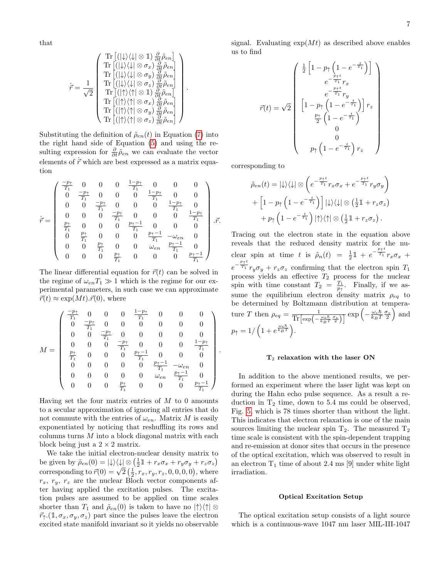that

$$
\dot{\vec{r}} = \frac{1}{\sqrt{2}} \begin{pmatrix} \text{Tr}\left[ (\left|\downarrow\rangle\langle\downarrow\right|\otimes\mathbb{1}) \frac{\partial}{\partial t} \tilde{\rho}_{en} \right] \\ \text{Tr}\left[ (\left|\downarrow\rangle\langle\downarrow\right|\otimes\sigma_{x}) \frac{\partial}{\partial t} \tilde{\rho}_{en} \right] \\ \text{Tr}\left[ (\left|\downarrow\rangle\langle\downarrow\right|\otimes\sigma_{y}) \frac{\partial}{\partial t} \tilde{\rho}_{en} \right] \\ \text{Tr}\left[ (\left|\downarrow\rangle\langle\downarrow\right|\otimes\sigma_{z}) \frac{\partial}{\partial t} \tilde{\rho}_{en} \right] \\ \text{Tr}\left[ (\left|\uparrow\rangle\langle\uparrow\right|\otimes\mathbb{1}) \frac{\partial}{\partial t} \tilde{\rho}_{en} \right] \\ \text{Tr}\left[ (\left|\uparrow\rangle\langle\uparrow\right|\otimes\sigma_{x}) \frac{\partial}{\partial t} \tilde{\rho}_{en} \right] \\ \text{Tr}\left[ (\left|\uparrow\rangle\langle\uparrow\right|\otimes\sigma_{y}) \frac{\partial}{\partial t} \tilde{\rho}_{en} \right] \\ \text{Tr}\left[ (\left|\uparrow\rangle\langle\uparrow\right|\otimes\sigma_{y}) \frac{\partial}{\partial t} \tilde{\rho}_{en} \right] \end{pmatrix}.
$$

Substituting the definition of  $\tilde{\rho}_{en}(t)$  in Equation [\(7\)](#page-5-4) into the right hand side of Equation [\(5\)](#page-5-2) and using the resulting expression for  $\frac{\partial}{\partial t} \tilde{\rho}_{en}$  we can evaluate the vector elements of  $\vec{r}$  which are best expressed as a matrix equation

$$
\dot{\vec{r}} = \left(\begin{array}{cccccc} \frac{-p_1}{T_1} & 0 & 0 & 0 & \frac{1-p_1}{T_1} & 0 & 0 & 0 \\ 0 & \frac{-p_1}{T_1} & 0 & 0 & 0 & \frac{1-p_1}{T_1} & 0 & 0 \\ 0 & 0 & \frac{-p_1}{T_1} & 0 & 0 & 0 & \frac{1-p_1}{T_1} & 0 \\ 0 & 0 & 0 & \frac{-p_1}{T_1} & 0 & 0 & 0 & \frac{1-p_1}{T_1} \\ \frac{p_1}{T_1} & 0 & 0 & 0 & \frac{p_1-1}{T_1} & 0 & 0 & 0 \\ 0 & \frac{p_1}{T_1} & 0 & 0 & 0 & \frac{p_1-1}{T_1} & -\omega_{en} & 0 \\ 0 & 0 & \frac{p_1}{T_1} & 0 & 0 & \omega_{en} & \frac{p_1-1}{T_1} & 0 \\ 0 & 0 & 0 & \frac{p_1}{T_1} & 0 & 0 & 0 & \frac{p_1-1}{T_1} \end{array}\right) . \vec{r}.
$$

The linear differential equation for  $\vec{r}(t)$  can be solved in the regime of  $\omega_{en}T_1 \gg 1$  which is the regime for our experimental parameters, in such case we can approximate  $\vec{r}(t) \approx \exp(Mt) \cdot \vec{r}(0)$ , where

$$
M = \left(\begin{array}{ccccccccc} \frac{-p_{\uparrow}}{T_1} & 0 & 0 & 0 & \frac{1-p_{\uparrow}}{T_1} & 0 & 0 & 0 \\ 0 & \frac{-p_{\uparrow}}{T_1} & 0 & 0 & 0 & 0 & 0 & 0 \\ 0 & 0 & \frac{-p_{\uparrow}}{T_1} & 0 & 0 & 0 & 0 & 0 \\ 0 & 0 & 0 & \frac{-p_{\uparrow}}{T_1} & 0 & 0 & 0 & \frac{1-p_{\uparrow}}{T_1} \\ \frac{p_{\uparrow}}{T_1} & 0 & 0 & 0 & \frac{p_{\uparrow}-1}{T_1} & 0 & 0 & 0 \\ 0 & 0 & 0 & 0 & 0 & \frac{p_{\uparrow}-1}{T_1} & -\omega_{en} & 0 \\ 0 & 0 & 0 & 0 & \omega_{en} & \frac{p_{\uparrow}-1}{T_1} & 0 \\ 0 & 0 & 0 & 0 & \frac{p_{\uparrow}}{T_1} & 0 & 0 & 0 & \frac{p_{\uparrow}-1}{T_1} \end{array}\right)
$$

Having set the four matrix entries of  $M$  to 0 amounts to a secular approximation of ignoring all entries that do not commute with the entries of  $\omega_{en}$ . Matrix M is easily exponentiated by noticing that reshuffling its rows and columns turns  $M$  into a block diagonal matrix with each block being just a  $2 \times 2$  matrix.

We take the initial electron-nuclear density matrix to be given by  $\tilde{\rho}_{en}(0) = |\downarrow\rangle\langle\downarrow| \otimes (\frac{1}{2}\mathbb{1} + r_x\sigma_x + r_y\sigma_y + r_z\sigma_z)$ be given by  $p_{en}(0) = |\psi\rangle \langle \psi| \otimes (\frac{1}{2} \mathbb{1} + r_x \sigma_x + r_y \sigma_y + r_z \sigma_z)$ <br>corresponding to  $\vec{r}(0) = \sqrt{2} (\frac{1}{2}, r_x, r_y, r_z, 0, 0, 0, 0)$ , where  $r_x$ ,  $r_y$ ,  $r_z$  are the nuclear Bloch vector components after having applied the excitation pulses. The excitation pulses are assumed to be applied on time scales shorter than  $T_1$  and  $\tilde{\rho}_{en}(0)$  is taken to have no  $|\uparrow\rangle\langle\uparrow|\otimes\rangle$  $\vec{r}_{\uparrow}$ .(1,  $\sigma_x, \sigma_y, \sigma_z$ ) part since the pulses leave the electron excited state manifold invariant so it yields no observable signal. Evaluating  $\exp(Mt)$  as described above enables us to find

$$
\vec{r}(t) = \sqrt{2} \begin{pmatrix} \frac{1}{2} \left[ 1 - p_{\uparrow} \left( 1 - e^{-\frac{t}{T_1}} \right) \right] \\ e^{-\frac{p_{\uparrow}t}{T_1}} r_x \\ e^{-\frac{p_{\uparrow}t}{T_1}} r_y \\ e^{-\frac{p_{\uparrow}t}{T_1}} r_y \\ \frac{p_{\uparrow}}{2} \left( 1 - e^{-\frac{t}{T_1}} \right) \end{pmatrix} r_z
$$
\n
$$
p_{\uparrow} \left( 1 - e^{-\frac{t}{T_1}} \right) r_z
$$

corresponding to

.

$$
\tilde{\rho}_{en}(t) = |\downarrow\rangle\langle\downarrow| \otimes \left(e^{-\frac{p_{\uparrow}t}{T_{1}}}r_{x}\sigma_{x} + e^{-\frac{p_{\uparrow}t}{T_{1}}}r_{y}\sigma_{y}\right) \n+ \left[1 - p_{\uparrow}\left(1 - e^{-\frac{t}{T_{1}}}\right)\right] |\downarrow\rangle\langle\downarrow| \otimes \left(\frac{1}{2}\mathbb{1} + r_{z}\sigma_{z}\right) \n+ p_{\uparrow}\left(1 - e^{-\frac{t}{T_{1}}}\right)|\uparrow\rangle\langle\uparrow| \otimes \left(\frac{1}{2}\mathbb{1} + r_{z}\sigma_{z}\right).
$$

Tracing out the electron state in the equation above reveals that the reduced density matrix for the nuclear spin at time t is  $\tilde{\rho}_n(t) = \frac{1}{2} \mathbb{1} + e^{-\frac{p_+ t}{T_1}} r_x \sigma_x +$  $e^{-\frac{p+\bar{t}}{T_1}}r_y\sigma_y + r_z\sigma_z$  confirming that the electron spin  $T_1$ process yields an effective  $T_2$  process for the nuclear spin with time constant  $T_2 = \frac{T_1}{p_1}$ . Finally, if we assume the equilibrium electron density matrix  $\rho_{eq}$  to be determined by Boltzmann distribution at temperature T then  $\rho_{eq} = \frac{1}{\text{Tr}\left[\exp\left(-\frac{\omega_c \hbar}{k_B T} \frac{\sigma_z}{2}\right)\right]} \exp\left(-\frac{\omega_c \hbar}{k_B T} \frac{\sigma_z}{2}\right)$  and  $p_{\uparrow} = 1/\left(1 + e^{\frac{\omega_e \hbar}{k_B T}}\right).$ 

### $T_2$  relaxation with the laser ON

In addition to the above mentioned results, we performed an experiment where the laser light was kept on during the Hahn echo pulse sequence. As a result a reduction in  $T_2$  time, down to 5.4 ms could be observed, Fig. [5,](#page-7-0) which is 78 times shorter than without the light. This indicates that electron relaxation is one of the main sources limiting the nuclear spin  $T_2$ . The measured  $T_2$ time scale is consistent with the spin-dependent trapping and re-emission at donor sites that occurs in the presence of the optical excitation, which was observed to result in an electron  $T_1$  time of about 2.4 ms [9] under white light irradiation.

### Optical Excitation Setup

The optical excitation setup consists of a light source which is a continuous-wave 1047 nm laser MIL-III-1047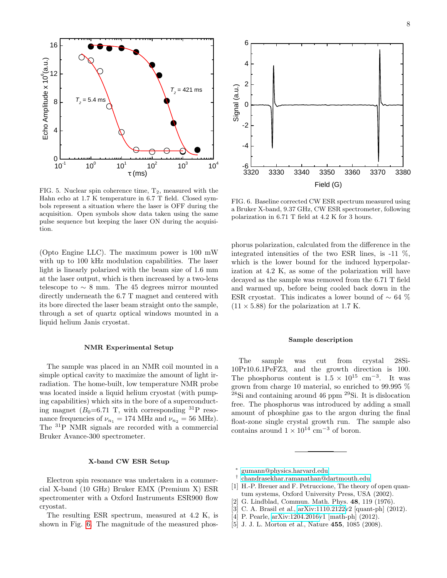

<span id="page-7-0"></span>FIG. 5. Nuclear spin coherence time,  $T_2$ , measured with the Hahn echo at 1.7 K temperature in 6.7 T field. Closed symbols represent a situation where the laser is OFF during the acquisition. Open symbols show data taken using the same pulse sequence but keeping the laser ON during the acquisition.

(Opto Engine LLC). The maximum power is 100 mW with up to 100 kHz modulation capabilities. The laser light is linearly polarized with the beam size of 1.6 mm at the laser output, which is then increased by a two-lens telescope to  $\sim 8$  mm. The 45 degrees mirror mounted directly underneath the 6.7 T magnet and centered with its bore directed the laser beam straight onto the sample, through a set of quartz optical windows mounted in a liquid helium Janis cryostat.

### NMR Experimental Setup

The sample was placed in an NMR coil mounted in a simple optical cavity to maximize the amount of light irradiation. The home-built, low temperature NMR probe was located inside a liquid helium cryostat (with pumping capabilities) which sits in the bore of a superconducting magnet ( $B_0$ =6.71 T, with corresponding <sup>31</sup>P resonance frequencies of  $\nu_{n_1} = 174 \text{ MHz}$  and  $\nu_{n_2} = 56 \text{ MHz}$ . The <sup>31</sup>P NMR signals are recorded with a commercial Bruker Avance-300 spectrometer.

# X-band CW ESR Setup

Electron spin resonance was undertaken in a commercial X-band (10 GHz) Bruker EMX (Premium X) ESR spectromenter with a Oxford Instruments ESR900 flow cryostat.

The resulting ESR spectrum, measured at 4.2 K, is shown in Fig. [6.](#page-7-1) The magnitude of the measured phos-



<span id="page-7-1"></span>FIG. 6. Baseline corrected CW ESR spectrum measured using a Bruker X-band, 9.37 GHz, CW ESR spectrometer, following polarization in 6.71 T field at 4.2 K for 3 hours.

phorus polarization, calculated from the difference in the integrated intensities of the two ESR lines, is -11 %, which is the lower bound for the induced hyperpolarization at 4.2 K, as some of the polarization will have decayed as the sample was removed from the 6.71 T field and warmed up, before being cooled back down in the ESR cryostat. This indicates a lower bound of  $\sim 64\%$  $(11 \times 5.88)$  for the polarization at 1.7 K.

### Sample description

The sample was cut from crystal 28Si-10Pr10.6.1PeFZ3, and the growth direction is 100. The phosphorus content is  $1.5 \times 10^{15}$  cm<sup>-3</sup>. It was grown from charge 10 material, so enriched to 99.995 %  $^{28}$ Si and containing around 46 ppm  $^{29}$ Si. It is dislocation free. The phosphorus was introduced by adding a small amount of phosphine gas to the argon during the final float-zone single crystal growth run. The sample also contains around  $1 \times 10^{14}$  cm<sup>-3</sup> of boron.

∗ [gumann@physics.harvard.edu](mailto:gumann@physics.harvard.edu)

- † [chandrasekhar.ramanathan@dartmouth.edu](mailto:chandrasekhar.ramanathan@dartmouth.edu)
- [1] H.-P. Breuer and F. Petruccione, The theory of open quantum systems, Oxford University Press, USA (2002).
- [2] G. Lindblad, Commun. Math. Phys. 48, 119 (1976).
- [3] C. A. Brasil et al., [arXiv:1110.2122v](http://arxiv.org/abs/1110.2122)2 [quant-ph] (2012).
- [4] P. Pearle, [arXiv:1204.2016v](http://arxiv.org/abs/1204.2016)1 [math-ph] (2012).
- [5] J. J. L. Morton et al., Nature 455, 1085 (2008).